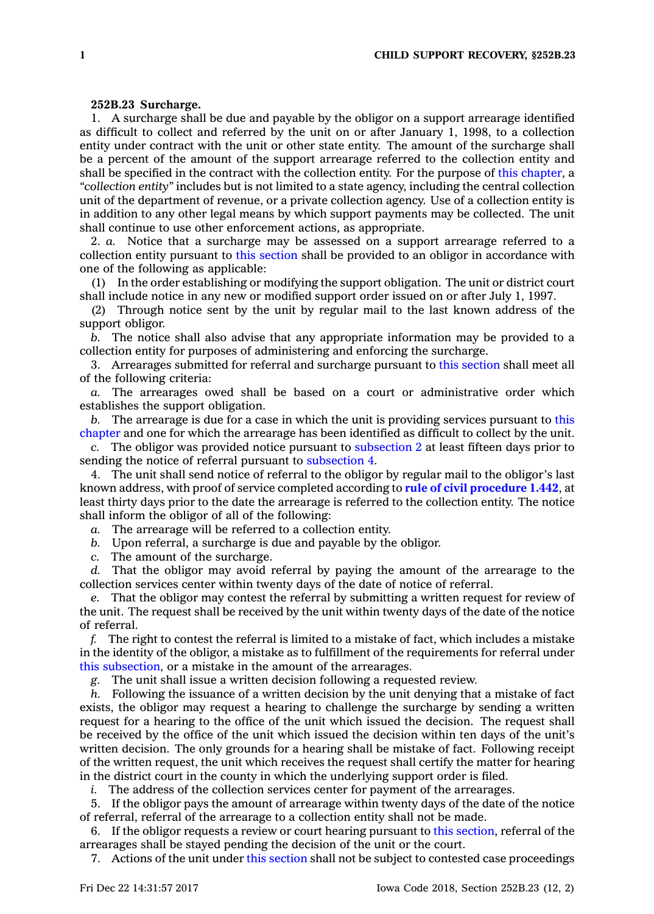## **252B.23 Surcharge.**

1. A surcharge shall be due and payable by the obligor on <sup>a</sup> support arrearage identified as difficult to collect and referred by the unit on or after January 1, 1998, to <sup>a</sup> collection entity under contract with the unit or other state entity. The amount of the surcharge shall be <sup>a</sup> percent of the amount of the support arrearage referred to the collection entity and shall be specified in the contract with the collection entity. For the purpose of this [chapter](https://www.legis.iowa.gov/docs/code//252B.pdf), <sup>a</sup> *"collection entity"* includes but is not limited to <sup>a</sup> state agency, including the central collection unit of the department of revenue, or <sup>a</sup> private collection agency. Use of <sup>a</sup> collection entity is in addition to any other legal means by which support payments may be collected. The unit shall continue to use other enforcement actions, as appropriate.

2. *a.* Notice that <sup>a</sup> surcharge may be assessed on <sup>a</sup> support arrearage referred to <sup>a</sup> collection entity pursuant to this [section](https://www.legis.iowa.gov/docs/code/252B.23.pdf) shall be provided to an obligor in accordance with one of the following as applicable:

(1) In the order establishing or modifying the support obligation. The unit or district court shall include notice in any new or modified support order issued on or after July 1, 1997.

(2) Through notice sent by the unit by regular mail to the last known address of the support obligor.

*b.* The notice shall also advise that any appropriate information may be provided to <sup>a</sup> collection entity for purposes of administering and enforcing the surcharge.

3. Arrearages submitted for referral and surcharge pursuant to this [section](https://www.legis.iowa.gov/docs/code/252B.23.pdf) shall meet all of the following criteria:

*a.* The arrearages owed shall be based on <sup>a</sup> court or administrative order which establishes the support obligation.

*b.* The arrearage is due for <sup>a</sup> case in which the unit is providing services pursuant to [this](https://www.legis.iowa.gov/docs/code//252B.pdf) [chapter](https://www.legis.iowa.gov/docs/code//252B.pdf) and one for which the arrearage has been identified as difficult to collect by the unit.

*c.* The obligor was provided notice pursuant to [subsection](https://www.legis.iowa.gov/docs/code/252B.23.pdf) 2 at least fifteen days prior to sending the notice of referral pursuant to [subsection](https://www.legis.iowa.gov/docs/code/252B.23.pdf) 4.

4. The unit shall send notice of referral to the obligor by regular mail to the obligor's last known address, with proof of service completed according to **rule of civil [procedure](https://www.legis.iowa.gov/docs/ACO/CourtRulesChapter/1.pdf) 1.442**, at least thirty days prior to the date the arrearage is referred to the collection entity. The notice shall inform the obligor of all of the following:

*a.* The arrearage will be referred to <sup>a</sup> collection entity.

*b.* Upon referral, <sup>a</sup> surcharge is due and payable by the obligor.

*c.* The amount of the surcharge.

*d.* That the obligor may avoid referral by paying the amount of the arrearage to the collection services center within twenty days of the date of notice of referral.

*e.* That the obligor may contest the referral by submitting <sup>a</sup> written request for review of the unit. The request shall be received by the unit within twenty days of the date of the notice of referral.

*f.* The right to contest the referral is limited to <sup>a</sup> mistake of fact, which includes <sup>a</sup> mistake in the identity of the obligor, <sup>a</sup> mistake as to fulfillment of the requirements for referral under this [subsection](https://www.legis.iowa.gov/docs/code/252B.23.pdf), or <sup>a</sup> mistake in the amount of the arrearages.

*g.* The unit shall issue <sup>a</sup> written decision following <sup>a</sup> requested review.

*h.* Following the issuance of <sup>a</sup> written decision by the unit denying that <sup>a</sup> mistake of fact exists, the obligor may request <sup>a</sup> hearing to challenge the surcharge by sending <sup>a</sup> written request for <sup>a</sup> hearing to the office of the unit which issued the decision. The request shall be received by the office of the unit which issued the decision within ten days of the unit's written decision. The only grounds for <sup>a</sup> hearing shall be mistake of fact. Following receipt of the written request, the unit which receives the request shall certify the matter for hearing in the district court in the county in which the underlying support order is filed.

*i.* The address of the collection services center for payment of the arrearages.

5. If the obligor pays the amount of arrearage within twenty days of the date of the notice of referral, referral of the arrearage to <sup>a</sup> collection entity shall not be made.

6. If the obligor requests <sup>a</sup> review or court hearing pursuant to this [section](https://www.legis.iowa.gov/docs/code/252B.23.pdf), referral of the arrearages shall be stayed pending the decision of the unit or the court.

7. Actions of the unit under this [section](https://www.legis.iowa.gov/docs/code/252B.23.pdf) shall not be subject to contested case proceedings